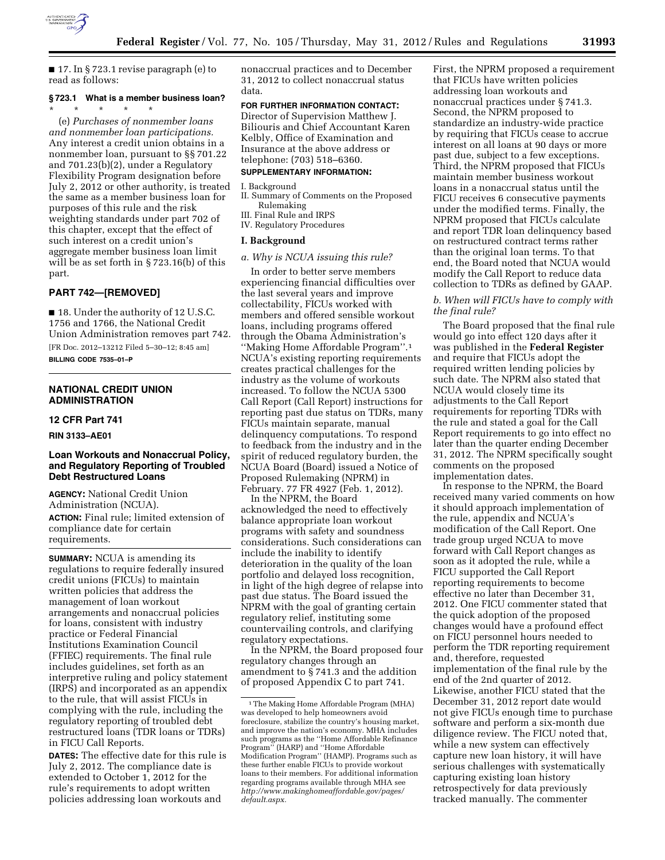

■ 17. In § 723.1 revise paragraph (e) to read as follows:

# **§ 723.1 What is a member business loan?**

\* \* \* \* \* (e) *Purchases of nonmember loans and nonmember loan participations.*  Any interest a credit union obtains in a nonmember loan, pursuant to §§ 701.22 and 701.23(b)(2), under a Regulatory Flexibility Program designation before July 2, 2012 or other authority, is treated the same as a member business loan for purposes of this rule and the risk weighting standards under part 702 of this chapter, except that the effect of such interest on a credit union's aggregate member business loan limit will be as set forth in § 723.16(b) of this part.

## **PART 742—[REMOVED]**

■ 18. Under the authority of 12 U.S.C. 1756 and 1766, the National Credit Union Administration removes part 742. [FR Doc. 2012–13212 Filed 5–30–12; 8:45 am]

**BILLING CODE 7535–01–P** 

## **NATIONAL CREDIT UNION ADMINISTRATION**

#### **12 CFR Part 741**

## **RIN 3133–AE01**

## **Loan Workouts and Nonaccrual Policy, and Regulatory Reporting of Troubled Debt Restructured Loans**

**AGENCY:** National Credit Union Administration (NCUA). **ACTION:** Final rule; limited extension of compliance date for certain requirements.

**SUMMARY:** NCUA is amending its regulations to require federally insured credit unions (FICUs) to maintain written policies that address the management of loan workout arrangements and nonaccrual policies for loans, consistent with industry practice or Federal Financial Institutions Examination Council (FFIEC) requirements. The final rule includes guidelines, set forth as an interpretive ruling and policy statement (IRPS) and incorporated as an appendix to the rule, that will assist FICUs in complying with the rule, including the regulatory reporting of troubled debt restructured loans (TDR loans or TDRs) in FICU Call Reports.

**DATES:** The effective date for this rule is July 2, 2012. The compliance date is extended to October 1, 2012 for the rule's requirements to adopt written policies addressing loan workouts and

nonaccrual practices and to December 31, 2012 to collect nonaccrual status data.

## **FOR FURTHER INFORMATION CONTACT:**

Director of Supervision Matthew J. Biliouris and Chief Accountant Karen Kelbly, Office of Examination and Insurance at the above address or telephone: (703) 518–6360.

## **SUPPLEMENTARY INFORMATION:**

I. Background

II. Summary of Comments on the Proposed Rulemaking

III. Final Rule and IRPS IV. Regulatory Procedures

#### **I. Background**

#### *a. Why is NCUA issuing this rule?*

In order to better serve members experiencing financial difficulties over the last several years and improve collectability, FICUs worked with members and offered sensible workout loans, including programs offered through the Obama Administration's ''Making Home Affordable Program''.1 NCUA's existing reporting requirements creates practical challenges for the industry as the volume of workouts increased. To follow the NCUA 5300 Call Report (Call Report) instructions for reporting past due status on TDRs, many FICUs maintain separate, manual delinquency computations. To respond to feedback from the industry and in the spirit of reduced regulatory burden, the NCUA Board (Board) issued a Notice of Proposed Rulemaking (NPRM) in February. 77 FR 4927 (Feb. 1, 2012).

In the NPRM, the Board acknowledged the need to effectively balance appropriate loan workout programs with safety and soundness considerations. Such considerations can include the inability to identify deterioration in the quality of the loan portfolio and delayed loss recognition, in light of the high degree of relapse into past due status. The Board issued the NPRM with the goal of granting certain regulatory relief, instituting some countervailing controls, and clarifying regulatory expectations.

In the NPRM, the Board proposed four regulatory changes through an amendment to § 741.3 and the addition of proposed Appendix C to part 741.

First, the NPRM proposed a requirement that FICUs have written policies addressing loan workouts and nonaccrual practices under § 741.3. Second, the NPRM proposed to standardize an industry-wide practice by requiring that FICUs cease to accrue interest on all loans at 90 days or more past due, subject to a few exceptions. Third, the NPRM proposed that FICUs maintain member business workout loans in a nonaccrual status until the FICU receives 6 consecutive payments under the modified terms. Finally, the NPRM proposed that FICUs calculate and report TDR loan delinquency based on restructured contract terms rather than the original loan terms. To that end, the Board noted that NCUA would modify the Call Report to reduce data collection to TDRs as defined by GAAP.

## *b. When will FICUs have to comply with the final rule?*

The Board proposed that the final rule would go into effect 120 days after it was published in the **Federal Register**  and require that FICUs adopt the required written lending policies by such date. The NPRM also stated that NCUA would closely time its adjustments to the Call Report requirements for reporting TDRs with the rule and stated a goal for the Call Report requirements to go into effect no later than the quarter ending December 31, 2012. The NPRM specifically sought comments on the proposed implementation dates.

In response to the NPRM, the Board received many varied comments on how it should approach implementation of the rule, appendix and NCUA's modification of the Call Report. One trade group urged NCUA to move forward with Call Report changes as soon as it adopted the rule, while a FICU supported the Call Report reporting requirements to become effective no later than December 31, 2012. One FICU commenter stated that the quick adoption of the proposed changes would have a profound effect on FICU personnel hours needed to perform the TDR reporting requirement and, therefore, requested implementation of the final rule by the end of the 2nd quarter of 2012. Likewise, another FICU stated that the December 31, 2012 report date would not give FICUs enough time to purchase software and perform a six-month due diligence review. The FICU noted that, while a new system can effectively capture new loan history, it will have serious challenges with systematically capturing existing loan history retrospectively for data previously tracked manually. The commenter

<sup>1</sup>The Making Home Affordable Program (MHA) was developed to help homeowners avoid foreclosure, stabilize the country's housing market, and improve the nation's economy. MHA includes such programs as the ''Home Affordable Refinance Program'' (HARP) and ''Home Affordable Modification Program'' (HAMP). Programs such as these further enable FICUs to provide workout loans to their members. For additional information regarding programs available through MHA see *[http://www.makinghomeaffordable.gov/pages/](http://www.makinghomeaffordable.gov/pages/default.aspx) [default.aspx.](http://www.makinghomeaffordable.gov/pages/default.aspx)*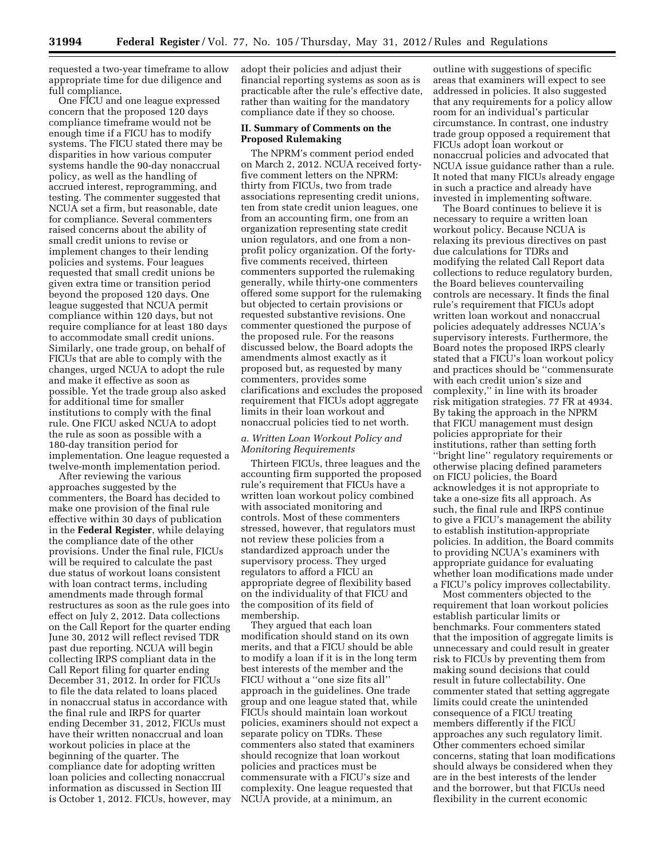requested a two-year timeframe to allow appropriate time for due diligence and full compliance.

One FICU and one league expressed concern that the proposed 120 days compliance timeframe would not be enough time if a FICU has to modify systems. The FICU stated there may be disparities in how various computer systems handle the 90-day nonaccrual policy, as well as the handling of accrued interest, reprogramming, and testing. The commenter suggested that NCUA set a firm, but reasonable, date for compliance. Several commenters raised concerns about the ability of small credit unions to revise or implement changes to their lending policies and systems. Four leagues requested that small credit unions be given extra time or transition period beyond the proposed 120 days. One league suggested that NCUA permit compliance within 120 days, but not require compliance for at least 180 days to accommodate small credit unions. Similarly, one trade group, on behalf of FICUs that are able to comply with the changes, urged NCUA to adopt the rule and make it effective as soon as possible. Yet the trade group also asked for additional time for smaller institutions to comply with the final rule. One FICU asked NCUA to adopt the rule as soon as possible with a 180-day transition period for implementation. One league requested a twelve-month implementation period.

After reviewing the various approaches suggested by the commenters, the Board has decided to make one provision of the final rule effective within 30 days of publication in the **Federal Register**, while delaying the compliance date of the other provisions. Under the final rule, FICUs will be required to calculate the past due status of workout loans consistent with loan contract terms, including amendments made through formal restructures as soon as the rule goes into effect on July 2, 2012. Data collections on the Call Report for the quarter ending June 30, 2012 will reflect revised TDR past due reporting. NCUA will begin collecting IRPS compliant data in the Call Report filing for quarter ending December 31, 2012. In order for FICUs to file the data related to loans placed in nonaccrual status in accordance with the final rule and IRPS for quarter ending December 31, 2012, FICUs must have their written nonaccrual and loan workout policies in place at the beginning of the quarter. The compliance date for adopting written loan policies and collecting nonaccrual information as discussed in Section III is October 1, 2012. FICUs, however, may adopt their policies and adjust their financial reporting systems as soon as is practicable after the rule's effective date, rather than waiting for the mandatory compliance date if they so choose.

#### **II. Summary of Comments on the Proposed Rulemaking**

The NPRM's comment period ended on March 2, 2012. NCUA received fortyfive comment letters on the NPRM: thirty from FICUs, two from trade associations representing credit unions, ten from state credit union leagues, one from an accounting firm, one from an organization representing state credit union regulators, and one from a nonprofit policy organization. Of the fortyfive comments received, thirteen commenters supported the rulemaking generally, while thirty-one commenters offered some support for the rulemaking but objected to certain provisions or requested substantive revisions. One commenter questioned the purpose of the proposed rule. For the reasons discussed below, the Board adopts the amendments almost exactly as it proposed but, as requested by many commenters, provides some clarifications and excludes the proposed requirement that FICUs adopt aggregate limits in their loan workout and nonaccrual policies tied to net worth.

## *a. Written Loan Workout Policy and Monitoring Requirements*

Thirteen FICUs, three leagues and the accounting firm supported the proposed rule's requirement that FICUs have a written loan workout policy combined with associated monitoring and controls. Most of these commenters stressed, however, that regulators must not review these policies from a standardized approach under the supervisory process. They urged regulators to afford a FICU an appropriate degree of flexibility based on the individuality of that FICU and the composition of its field of membership.

They argued that each loan modification should stand on its own merits, and that a FICU should be able to modify a loan if it is in the long term best interests of the member and the FICU without a ''one size fits all'' approach in the guidelines. One trade group and one league stated that, while FICUs should maintain loan workout policies, examiners should not expect a separate policy on TDRs. These commenters also stated that examiners should recognize that loan workout policies and practices must be commensurate with a FICU's size and complexity. One league requested that NCUA provide, at a minimum, an

outline with suggestions of specific areas that examiners will expect to see addressed in policies. It also suggested that any requirements for a policy allow room for an individual's particular circumstance. In contrast, one industry trade group opposed a requirement that FICUs adopt loan workout or nonaccrual policies and advocated that NCUA issue guidance rather than a rule. It noted that many FICUs already engage in such a practice and already have invested in implementing software.

The Board continues to believe it is necessary to require a written loan workout policy. Because NCUA is relaxing its previous directives on past due calculations for TDRs and modifying the related Call Report data collections to reduce regulatory burden, the Board believes countervailing controls are necessary. It finds the final rule's requirement that FICUs adopt written loan workout and nonaccrual policies adequately addresses NCUA's supervisory interests. Furthermore, the Board notes the proposed IRPS clearly stated that a FICU's loan workout policy and practices should be ''commensurate with each credit union's size and complexity,'' in line with its broader risk mitigation strategies. 77 FR at 4934. By taking the approach in the NPRM that FICU management must design policies appropriate for their institutions, rather than setting forth ''bright line'' regulatory requirements or otherwise placing defined parameters on FICU policies, the Board acknowledges it is not appropriate to take a one-size fits all approach. As such, the final rule and IRPS continue to give a FICU's management the ability to establish institution-appropriate policies. In addition, the Board commits to providing NCUA's examiners with appropriate guidance for evaluating whether loan modifications made under a FICU's policy improves collectability.

Most commenters objected to the requirement that loan workout policies establish particular limits or benchmarks. Four commenters stated that the imposition of aggregate limits is unnecessary and could result in greater risk to FICUs by preventing them from making sound decisions that could result in future collectability. One commenter stated that setting aggregate limits could create the unintended consequence of a FICU treating members differently if the FICU approaches any such regulatory limit. Other commenters echoed similar concerns, stating that loan modifications should always be considered when they are in the best interests of the lender and the borrower, but that FICUs need flexibility in the current economic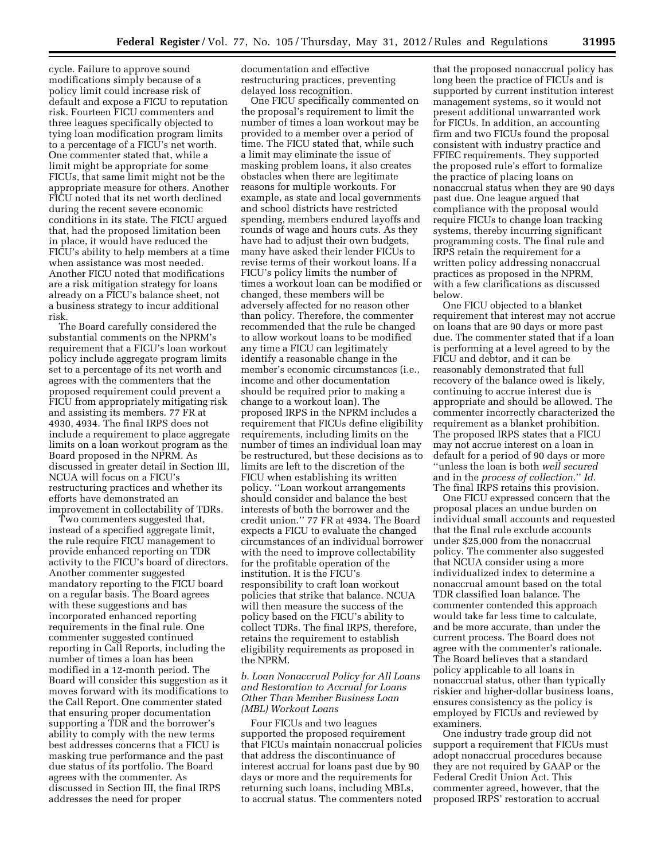cycle. Failure to approve sound modifications simply because of a policy limit could increase risk of default and expose a FICU to reputation risk. Fourteen FICU commenters and three leagues specifically objected to tying loan modification program limits to a percentage of a FICU's net worth. One commenter stated that, while a limit might be appropriate for some FICUs, that same limit might not be the appropriate measure for others. Another FICU noted that its net worth declined during the recent severe economic conditions in its state. The FICU argued that, had the proposed limitation been in place, it would have reduced the FICU's ability to help members at a time when assistance was most needed. Another FICU noted that modifications are a risk mitigation strategy for loans already on a FICU's balance sheet, not a business strategy to incur additional risk.

The Board carefully considered the substantial comments on the NPRM's requirement that a FICU's loan workout policy include aggregate program limits set to a percentage of its net worth and agrees with the commenters that the proposed requirement could prevent a FICU from appropriately mitigating risk and assisting its members. 77 FR at 4930, 4934. The final IRPS does not include a requirement to place aggregate limits on a loan workout program as the Board proposed in the NPRM. As discussed in greater detail in Section III, NCUA will focus on a FICU's restructuring practices and whether its efforts have demonstrated an improvement in collectability of TDRs.

Two commenters suggested that, instead of a specified aggregate limit, the rule require FICU management to provide enhanced reporting on TDR activity to the FICU's board of directors. Another commenter suggested mandatory reporting to the FICU board on a regular basis. The Board agrees with these suggestions and has incorporated enhanced reporting requirements in the final rule. One commenter suggested continued reporting in Call Reports, including the number of times a loan has been modified in a 12-month period. The Board will consider this suggestion as it moves forward with its modifications to the Call Report. One commenter stated that ensuring proper documentation supporting a TDR and the borrower's ability to comply with the new terms best addresses concerns that a FICU is masking true performance and the past due status of its portfolio. The Board agrees with the commenter. As discussed in Section III, the final IRPS addresses the need for proper

documentation and effective restructuring practices, preventing delayed loss recognition.

One FICU specifically commented on the proposal's requirement to limit the number of times a loan workout may be provided to a member over a period of time. The FICU stated that, while such a limit may eliminate the issue of masking problem loans, it also creates obstacles when there are legitimate reasons for multiple workouts. For example, as state and local governments and school districts have restricted spending, members endured layoffs and rounds of wage and hours cuts. As they have had to adjust their own budgets, many have asked their lender FICUs to revise terms of their workout loans. If a FICU's policy limits the number of times a workout loan can be modified or changed, these members will be adversely affected for no reason other than policy. Therefore, the commenter recommended that the rule be changed to allow workout loans to be modified any time a FICU can legitimately identify a reasonable change in the member's economic circumstances (i.e., income and other documentation should be required prior to making a change to a workout loan). The proposed IRPS in the NPRM includes a requirement that FICUs define eligibility requirements, including limits on the number of times an individual loan may be restructured, but these decisions as to limits are left to the discretion of the FICU when establishing its written policy. ''Loan workout arrangements should consider and balance the best interests of both the borrower and the credit union.'' 77 FR at 4934. The Board expects a FICU to evaluate the changed circumstances of an individual borrower with the need to improve collectability for the profitable operation of the institution. It is the FICU's responsibility to craft loan workout policies that strike that balance. NCUA will then measure the success of the policy based on the FICU's ability to collect TDRs. The final IRPS, therefore, retains the requirement to establish eligibility requirements as proposed in the NPRM.

## *b. Loan Nonaccrual Policy for All Loans and Restoration to Accrual for Loans Other Than Member Business Loan (MBL) Workout Loans*

Four FICUs and two leagues supported the proposed requirement that FICUs maintain nonaccrual policies that address the discontinuance of interest accrual for loans past due by 90 days or more and the requirements for returning such loans, including MBLs, to accrual status. The commenters noted

that the proposed nonaccrual policy has long been the practice of FICUs and is supported by current institution interest management systems, so it would not present additional unwarranted work for FICUs. In addition, an accounting firm and two FICUs found the proposal consistent with industry practice and FFIEC requirements. They supported the proposed rule's effort to formalize the practice of placing loans on nonaccrual status when they are 90 days past due. One league argued that compliance with the proposal would require FICUs to change loan tracking systems, thereby incurring significant programming costs. The final rule and IRPS retain the requirement for a written policy addressing nonaccrual practices as proposed in the NPRM, with a few clarifications as discussed below.

One FICU objected to a blanket requirement that interest may not accrue on loans that are 90 days or more past due. The commenter stated that if a loan is performing at a level agreed to by the FICU and debtor, and it can be reasonably demonstrated that full recovery of the balance owed is likely, continuing to accrue interest due is appropriate and should be allowed. The commenter incorrectly characterized the requirement as a blanket prohibition. The proposed IRPS states that a FICU may not accrue interest on a loan in default for a period of 90 days or more ''unless the loan is both *well secured*  and in the *process of collection.*'' *Id.*  The final IRPS retains this provision.

One FICU expressed concern that the proposal places an undue burden on individual small accounts and requested that the final rule exclude accounts under \$25,000 from the nonaccrual policy. The commenter also suggested that NCUA consider using a more individualized index to determine a nonaccrual amount based on the total TDR classified loan balance. The commenter contended this approach would take far less time to calculate, and be more accurate, than under the current process. The Board does not agree with the commenter's rationale. The Board believes that a standard policy applicable to all loans in nonaccrual status, other than typically riskier and higher-dollar business loans, ensures consistency as the policy is employed by FICUs and reviewed by examiners.

One industry trade group did not support a requirement that FICUs must adopt nonaccrual procedures because they are not required by GAAP or the Federal Credit Union Act. This commenter agreed, however, that the proposed IRPS' restoration to accrual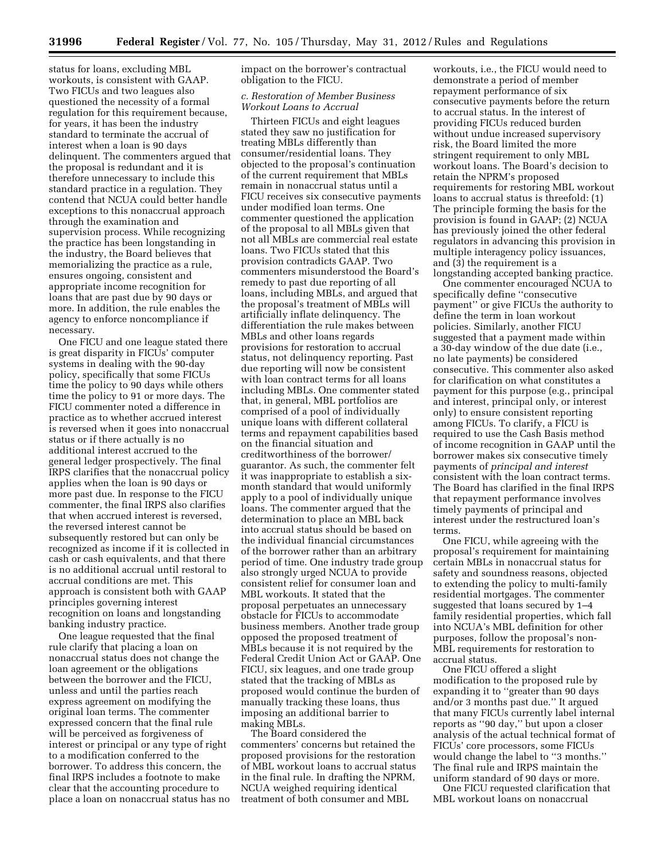status for loans, excluding MBL workouts, is consistent with GAAP. Two FICUs and two leagues also questioned the necessity of a formal regulation for this requirement because, for years, it has been the industry standard to terminate the accrual of interest when a loan is 90 days delinquent. The commenters argued that the proposal is redundant and it is therefore unnecessary to include this standard practice in a regulation. They contend that NCUA could better handle exceptions to this nonaccrual approach through the examination and supervision process. While recognizing the practice has been longstanding in the industry, the Board believes that memorializing the practice as a rule, ensures ongoing, consistent and appropriate income recognition for loans that are past due by 90 days or more. In addition, the rule enables the agency to enforce noncompliance if necessary.

One FICU and one league stated there is great disparity in FICUs' computer systems in dealing with the 90-day policy, specifically that some FICUs time the policy to 90 days while others time the policy to 91 or more days. The FICU commenter noted a difference in practice as to whether accrued interest is reversed when it goes into nonaccrual status or if there actually is no additional interest accrued to the general ledger prospectively. The final IRPS clarifies that the nonaccrual policy applies when the loan is 90 days or more past due. In response to the FICU commenter, the final IRPS also clarifies that when accrued interest is reversed, the reversed interest cannot be subsequently restored but can only be recognized as income if it is collected in cash or cash equivalents, and that there is no additional accrual until restoral to accrual conditions are met. This approach is consistent both with GAAP principles governing interest recognition on loans and longstanding banking industry practice.

One league requested that the final rule clarify that placing a loan on nonaccrual status does not change the loan agreement or the obligations between the borrower and the FICU, unless and until the parties reach express agreement on modifying the original loan terms. The commenter expressed concern that the final rule will be perceived as forgiveness of interest or principal or any type of right to a modification conferred to the borrower. To address this concern, the final IRPS includes a footnote to make clear that the accounting procedure to place a loan on nonaccrual status has no impact on the borrower's contractual obligation to the FICU.

#### *c. Restoration of Member Business Workout Loans to Accrual*

Thirteen FICUs and eight leagues stated they saw no justification for treating MBLs differently than consumer/residential loans. They objected to the proposal's continuation of the current requirement that MBLs remain in nonaccrual status until a FICU receives six consecutive payments under modified loan terms. One commenter questioned the application of the proposal to all MBLs given that not all MBLs are commercial real estate loans. Two FICUs stated that this provision contradicts GAAP. Two commenters misunderstood the Board's remedy to past due reporting of all loans, including MBLs, and argued that the proposal's treatment of MBLs will artificially inflate delinquency. The differentiation the rule makes between MBLs and other loans regards provisions for restoration to accrual status, not delinquency reporting. Past due reporting will now be consistent with loan contract terms for all loans including MBLs. One commenter stated that, in general, MBL portfolios are comprised of a pool of individually unique loans with different collateral terms and repayment capabilities based on the financial situation and creditworthiness of the borrower/ guarantor. As such, the commenter felt it was inappropriate to establish a sixmonth standard that would uniformly apply to a pool of individually unique loans. The commenter argued that the determination to place an MBL back into accrual status should be based on the individual financial circumstances of the borrower rather than an arbitrary period of time. One industry trade group also strongly urged NCUA to provide consistent relief for consumer loan and MBL workouts. It stated that the proposal perpetuates an unnecessary obstacle for FICUs to accommodate business members. Another trade group opposed the proposed treatment of MBLs because it is not required by the Federal Credit Union Act or GAAP. One FICU, six leagues, and one trade group stated that the tracking of MBLs as proposed would continue the burden of manually tracking these loans, thus imposing an additional barrier to making MBLs.

The Board considered the commenters' concerns but retained the proposed provisions for the restoration of MBL workout loans to accrual status in the final rule. In drafting the NPRM, NCUA weighed requiring identical treatment of both consumer and MBL

workouts, i.e., the FICU would need to demonstrate a period of member repayment performance of six consecutive payments before the return to accrual status. In the interest of providing FICUs reduced burden without undue increased supervisory risk, the Board limited the more stringent requirement to only MBL workout loans. The Board's decision to retain the NPRM's proposed requirements for restoring MBL workout loans to accrual status is threefold: (1) The principle forming the basis for the provision is found in GAAP; (2) NCUA has previously joined the other federal regulators in advancing this provision in multiple interagency policy issuances, and (3) the requirement is a longstanding accepted banking practice.

One commenter encouraged NCUA to specifically define ''consecutive payment'' or give FICUs the authority to define the term in loan workout policies. Similarly, another FICU suggested that a payment made within a 30-day window of the due date (i.e., no late payments) be considered consecutive. This commenter also asked for clarification on what constitutes a payment for this purpose (e.g., principal and interest, principal only, or interest only) to ensure consistent reporting among FICUs. To clarify, a FICU is required to use the Cash Basis method of income recognition in GAAP until the borrower makes six consecutive timely payments of *principal and interest*  consistent with the loan contract terms. The Board has clarified in the final IRPS that repayment performance involves timely payments of principal and interest under the restructured loan's terms.

One FICU, while agreeing with the proposal's requirement for maintaining certain MBLs in nonaccrual status for safety and soundness reasons, objected to extending the policy to multi-family residential mortgages. The commenter suggested that loans secured by 1–4 family residential properties, which fall into NCUA's MBL definition for other purposes, follow the proposal's non-MBL requirements for restoration to accrual status.

One FICU offered a slight modification to the proposed rule by expanding it to ''greater than 90 days and/or 3 months past due.'' It argued that many FICUs currently label internal reports as ''90 day,'' but upon a closer analysis of the actual technical format of FICUs' core processors, some FICUs would change the label to ''3 months.'' The final rule and IRPS maintain the uniform standard of 90 days or more.

One FICU requested clarification that MBL workout loans on nonaccrual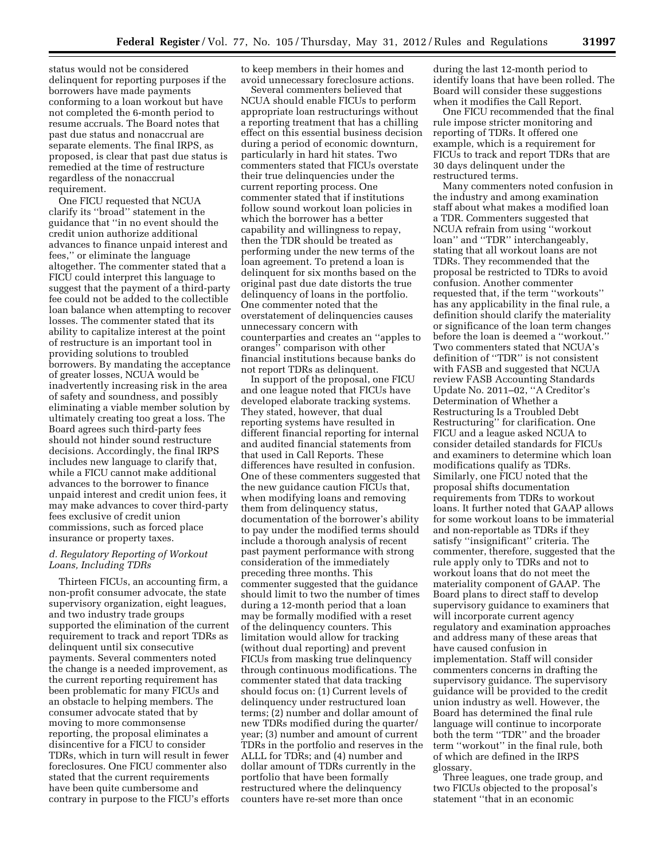status would not be considered delinquent for reporting purposes if the borrowers have made payments conforming to a loan workout but have not completed the 6-month period to resume accruals. The Board notes that past due status and nonaccrual are separate elements. The final IRPS, as proposed, is clear that past due status is remedied at the time of restructure regardless of the nonaccrual requirement.

One FICU requested that NCUA clarify its ''broad'' statement in the guidance that ''in no event should the credit union authorize additional advances to finance unpaid interest and fees,'' or eliminate the language altogether. The commenter stated that a FICU could interpret this language to suggest that the payment of a third-party fee could not be added to the collectible loan balance when attempting to recover losses. The commenter stated that its ability to capitalize interest at the point of restructure is an important tool in providing solutions to troubled borrowers. By mandating the acceptance of greater losses, NCUA would be inadvertently increasing risk in the area of safety and soundness, and possibly eliminating a viable member solution by ultimately creating too great a loss. The Board agrees such third-party fees should not hinder sound restructure decisions. Accordingly, the final IRPS includes new language to clarify that, while a FICU cannot make additional advances to the borrower to finance unpaid interest and credit union fees, it may make advances to cover third-party fees exclusive of credit union commissions, such as forced place insurance or property taxes.

## *d. Regulatory Reporting of Workout Loans, Including TDRs*

Thirteen FICUs, an accounting firm, a non-profit consumer advocate, the state supervisory organization, eight leagues, and two industry trade groups supported the elimination of the current requirement to track and report TDRs as delinquent until six consecutive payments. Several commenters noted the change is a needed improvement, as the current reporting requirement has been problematic for many FICUs and an obstacle to helping members. The consumer advocate stated that by moving to more commonsense reporting, the proposal eliminates a disincentive for a FICU to consider TDRs, which in turn will result in fewer foreclosures. One FICU commenter also stated that the current requirements have been quite cumbersome and contrary in purpose to the FICU's efforts to keep members in their homes and avoid unnecessary foreclosure actions.

Several commenters believed that NCUA should enable FICUs to perform appropriate loan restructurings without a reporting treatment that has a chilling effect on this essential business decision during a period of economic downturn, particularly in hard hit states. Two commenters stated that FICUs overstate their true delinquencies under the current reporting process. One commenter stated that if institutions follow sound workout loan policies in which the borrower has a better capability and willingness to repay, then the TDR should be treated as performing under the new terms of the loan agreement. To pretend a loan is delinquent for six months based on the original past due date distorts the true delinquency of loans in the portfolio. One commenter noted that the overstatement of delinquencies causes unnecessary concern with counterparties and creates an ''apples to oranges'' comparison with other financial institutions because banks do not report TDRs as delinquent.

In support of the proposal, one FICU and one league noted that FICUs have developed elaborate tracking systems. They stated, however, that dual reporting systems have resulted in different financial reporting for internal and audited financial statements from that used in Call Reports. These differences have resulted in confusion. One of these commenters suggested that the new guidance caution FICUs that, when modifying loans and removing them from delinquency status, documentation of the borrower's ability to pay under the modified terms should include a thorough analysis of recent past payment performance with strong consideration of the immediately preceding three months. This commenter suggested that the guidance should limit to two the number of times during a 12-month period that a loan may be formally modified with a reset of the delinquency counters. This limitation would allow for tracking (without dual reporting) and prevent FICUs from masking true delinquency through continuous modifications. The commenter stated that data tracking should focus on: (1) Current levels of delinquency under restructured loan terms; (2) number and dollar amount of new TDRs modified during the quarter/ year; (3) number and amount of current TDRs in the portfolio and reserves in the ALLL for TDRs; and (4) number and dollar amount of TDRs currently in the portfolio that have been formally restructured where the delinquency counters have re-set more than once

during the last 12-month period to identify loans that have been rolled. The Board will consider these suggestions when it modifies the Call Report.

One FICU recommended that the final rule impose stricter monitoring and reporting of TDRs. It offered one example, which is a requirement for FICUs to track and report TDRs that are 30 days delinquent under the restructured terms.

Many commenters noted confusion in the industry and among examination staff about what makes a modified loan a TDR. Commenters suggested that NCUA refrain from using ''workout loan'' and ''TDR'' interchangeably, stating that all workout loans are not TDRs. They recommended that the proposal be restricted to TDRs to avoid confusion. Another commenter requested that, if the term ''workouts'' has any applicability in the final rule, a definition should clarify the materiality or significance of the loan term changes before the loan is deemed a ''workout.'' Two commenters stated that NCUA's definition of ''TDR'' is not consistent with FASB and suggested that NCUA review FASB Accounting Standards Update No. 2011–02, ''A Creditor's Determination of Whether a Restructuring Is a Troubled Debt Restructuring'' for clarification. One FICU and a league asked NCUA to consider detailed standards for FICUs and examiners to determine which loan modifications qualify as TDRs. Similarly, one FICU noted that the proposal shifts documentation requirements from TDRs to workout loans. It further noted that GAAP allows for some workout loans to be immaterial and non-reportable as TDRs if they satisfy ''insignificant'' criteria. The commenter, therefore, suggested that the rule apply only to TDRs and not to workout loans that do not meet the materiality component of GAAP. The Board plans to direct staff to develop supervisory guidance to examiners that will incorporate current agency regulatory and examination approaches and address many of these areas that have caused confusion in implementation. Staff will consider commenters concerns in drafting the supervisory guidance. The supervisory guidance will be provided to the credit union industry as well. However, the Board has determined the final rule language will continue to incorporate both the term ''TDR'' and the broader term ''workout'' in the final rule, both of which are defined in the IRPS glossary.

Three leagues, one trade group, and two FICUs objected to the proposal's statement ''that in an economic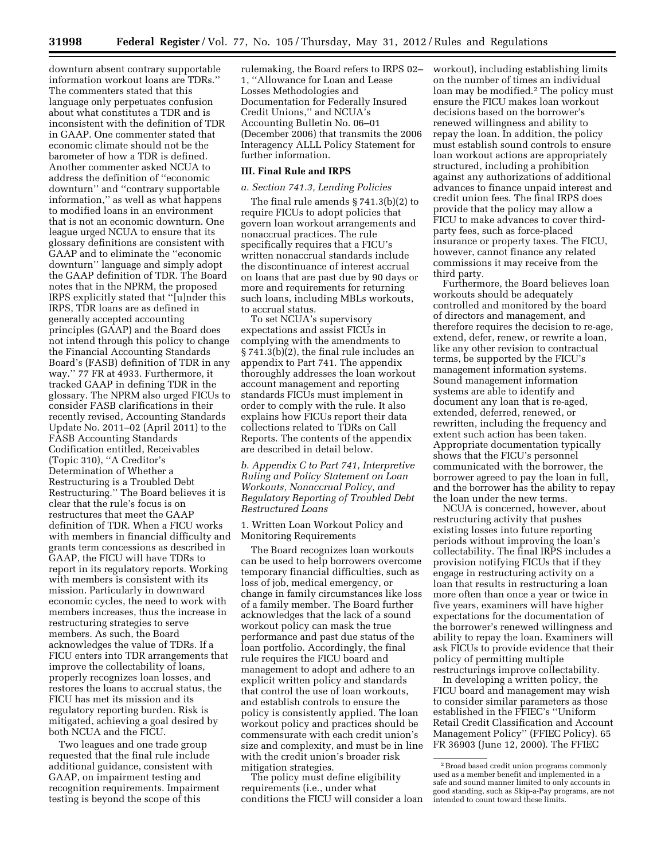downturn absent contrary supportable information workout loans are TDRs.'' The commenters stated that this language only perpetuates confusion about what constitutes a TDR and is inconsistent with the definition of TDR in GAAP. One commenter stated that economic climate should not be the barometer of how a TDR is defined. Another commenter asked NCUA to address the definition of ''economic downturn'' and ''contrary supportable information,'' as well as what happens to modified loans in an environment that is not an economic downturn. One league urged NCUA to ensure that its glossary definitions are consistent with GAAP and to eliminate the ''economic downturn'' language and simply adopt the GAAP definition of TDR. The Board notes that in the NPRM, the proposed IRPS explicitly stated that ''[u]nder this IRPS, TDR loans are as defined in generally accepted accounting principles (GAAP) and the Board does not intend through this policy to change the Financial Accounting Standards Board's (FASB) definition of TDR in any way.'' 77 FR at 4933. Furthermore, it tracked GAAP in defining TDR in the glossary. The NPRM also urged FICUs to consider FASB clarifications in their recently revised, Accounting Standards Update No. 2011–02 (April 2011) to the FASB Accounting Standards Codification entitled, Receivables (Topic 310), ''A Creditor's Determination of Whether a Restructuring is a Troubled Debt Restructuring.'' The Board believes it is clear that the rule's focus is on restructures that meet the GAAP definition of TDR. When a FICU works with members in financial difficulty and grants term concessions as described in GAAP, the FICU will have TDRs to report in its regulatory reports. Working with members is consistent with its mission. Particularly in downward economic cycles, the need to work with members increases, thus the increase in restructuring strategies to serve members. As such, the Board acknowledges the value of TDRs. If a FICU enters into TDR arrangements that improve the collectability of loans, properly recognizes loan losses, and restores the loans to accrual status, the FICU has met its mission and its regulatory reporting burden. Risk is mitigated, achieving a goal desired by both NCUA and the FICU.

Two leagues and one trade group requested that the final rule include additional guidance, consistent with GAAP, on impairment testing and recognition requirements. Impairment testing is beyond the scope of this

rulemaking, the Board refers to IRPS 02– 1, ''Allowance for Loan and Lease Losses Methodologies and Documentation for Federally Insured Credit Unions,'' and NCUA's Accounting Bulletin No. 06–01 (December 2006) that transmits the 2006 Interagency ALLL Policy Statement for further information.

## **III. Final Rule and IRPS**

#### *a. Section 741.3, Lending Policies*

The final rule amends § 741.3(b)(2) to require FICUs to adopt policies that govern loan workout arrangements and nonaccrual practices. The rule specifically requires that a FICU's written nonaccrual standards include the discontinuance of interest accrual on loans that are past due by 90 days or more and requirements for returning such loans, including MBLs workouts, to accrual status.

To set NCUA's supervisory expectations and assist FICUs in complying with the amendments to § 741.3(b)(2), the final rule includes an appendix to Part 741. The appendix thoroughly addresses the loan workout account management and reporting standards FICUs must implement in order to comply with the rule. It also explains how FICUs report their data collections related to TDRs on Call Reports. The contents of the appendix are described in detail below.

*b. Appendix C to Part 741, Interpretive Ruling and Policy Statement on Loan Workouts, Nonaccrual Policy, and Regulatory Reporting of Troubled Debt Restructured Loans* 

1. Written Loan Workout Policy and Monitoring Requirements

The Board recognizes loan workouts can be used to help borrowers overcome temporary financial difficulties, such as loss of job, medical emergency, or change in family circumstances like loss of a family member. The Board further acknowledges that the lack of a sound workout policy can mask the true performance and past due status of the loan portfolio. Accordingly, the final rule requires the FICU board and management to adopt and adhere to an explicit written policy and standards that control the use of loan workouts, and establish controls to ensure the policy is consistently applied. The loan workout policy and practices should be commensurate with each credit union's size and complexity, and must be in line with the credit union's broader risk mitigation strategies.

The policy must define eligibility requirements (i.e., under what conditions the FICU will consider a loan workout), including establishing limits on the number of times an individual loan may be modified.2 The policy must ensure the FICU makes loan workout decisions based on the borrower's renewed willingness and ability to repay the loan. In addition, the policy must establish sound controls to ensure loan workout actions are appropriately structured, including a prohibition against any authorizations of additional advances to finance unpaid interest and credit union fees. The final IRPS does provide that the policy may allow a FICU to make advances to cover thirdparty fees, such as force-placed insurance or property taxes. The FICU, however, cannot finance any related commissions it may receive from the third party.

Furthermore, the Board believes loan workouts should be adequately controlled and monitored by the board of directors and management, and therefore requires the decision to re-age, extend, defer, renew, or rewrite a loan, like any other revision to contractual terms, be supported by the FICU's management information systems. Sound management information systems are able to identify and document any loan that is re-aged, extended, deferred, renewed, or rewritten, including the frequency and extent such action has been taken. Appropriate documentation typically shows that the FICU's personnel communicated with the borrower, the borrower agreed to pay the loan in full, and the borrower has the ability to repay the loan under the new terms.

NCUA is concerned, however, about restructuring activity that pushes existing losses into future reporting periods without improving the loan's collectability. The final IRPS includes a provision notifying FICUs that if they engage in restructuring activity on a loan that results in restructuring a loan more often than once a year or twice in five years, examiners will have higher expectations for the documentation of the borrower's renewed willingness and ability to repay the loan. Examiners will ask FICUs to provide evidence that their policy of permitting multiple restructurings improve collectability.

In developing a written policy, the FICU board and management may wish to consider similar parameters as those established in the FFIEC's ''Uniform Retail Credit Classification and Account Management Policy'' (FFIEC Policy). 65 FR 36903 (June 12, 2000). The FFIEC

<sup>2</sup>Broad based credit union programs commonly used as a member benefit and implemented in a safe and sound manner limited to only accounts in good standing, such as Skip-a-Pay programs, are not intended to count toward these limits.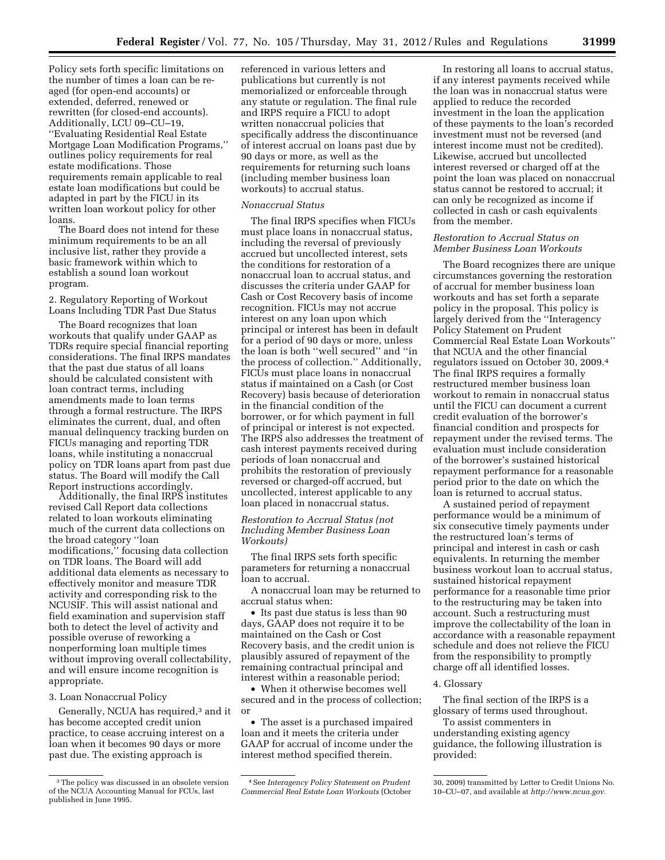Policy sets forth specific limitations on the number of times a loan can be reaged (for open-end accounts) or extended, deferred, renewed or rewritten (for closed-end accounts). Additionally, LCU 09–CU–19, ''Evaluating Residential Real Estate Mortgage Loan Modification Programs,'' outlines policy requirements for real estate modifications. Those requirements remain applicable to real estate loan modifications but could be adapted in part by the FICU in its written loan workout policy for other loans.

The Board does not intend for these minimum requirements to be an all inclusive list, rather they provide a basic framework within which to establish a sound loan workout program.

2. Regulatory Reporting of Workout Loans Including TDR Past Due Status

The Board recognizes that loan workouts that qualify under GAAP as TDRs require special financial reporting considerations. The final IRPS mandates that the past due status of all loans should be calculated consistent with loan contract terms, including amendments made to loan terms through a formal restructure. The IRPS eliminates the current, dual, and often manual delinquency tracking burden on FICUs managing and reporting TDR loans, while instituting a nonaccrual policy on TDR loans apart from past due status. The Board will modify the Call Report instructions accordingly.

Additionally, the final IRPS institutes revised Call Report data collections related to loan workouts eliminating much of the current data collections on the broad category ''loan modifications,'' focusing data collection on TDR loans. The Board will add additional data elements as necessary to effectively monitor and measure TDR activity and corresponding risk to the NCUSIF. This will assist national and field examination and supervision staff both to detect the level of activity and possible overuse of reworking a nonperforming loan multiple times without improving overall collectability, and will ensure income recognition is appropriate.

3. Loan Nonaccrual Policy

Generally, NCUA has required,3 and it has become accepted credit union practice, to cease accruing interest on a loan when it becomes 90 days or more past due. The existing approach is

referenced in various letters and publications but currently is not memorialized or enforceable through any statute or regulation. The final rule and IRPS require a FICU to adopt written nonaccrual policies that specifically address the discontinuance of interest accrual on loans past due by 90 days or more, as well as the requirements for returning such loans (including member business loan workouts) to accrual status.

#### *Nonaccrual Status*

The final IRPS specifies when FICUs must place loans in nonaccrual status, including the reversal of previously accrued but uncollected interest, sets the conditions for restoration of a nonaccrual loan to accrual status, and discusses the criteria under GAAP for Cash or Cost Recovery basis of income recognition. FICUs may not accrue interest on any loan upon which principal or interest has been in default for a period of 90 days or more, unless the loan is both ''well secured'' and ''in the process of collection.'' Additionally, FICUs must place loans in nonaccrual status if maintained on a Cash (or Cost Recovery) basis because of deterioration in the financial condition of the borrower, or for which payment in full of principal or interest is not expected. The IRPS also addresses the treatment of cash interest payments received during periods of loan nonaccrual and prohibits the restoration of previously reversed or charged-off accrued, but uncollected, interest applicable to any loan placed in nonaccrual status.

*Restoration to Accrual Status (not Including Member Business Loan Workouts)* 

The final IRPS sets forth specific parameters for returning a nonaccrual loan to accrual.

A nonaccrual loan may be returned to accrual status when:

• Its past due status is less than 90 days, GAAP does not require it to be maintained on the Cash or Cost Recovery basis, and the credit union is plausibly assured of repayment of the remaining contractual principal and interest within a reasonable period;

• When it otherwise becomes well secured and in the process of collection; or

• The asset is a purchased impaired loan and it meets the criteria under GAAP for accrual of income under the interest method specified therein.

In restoring all loans to accrual status, if any interest payments received while the loan was in nonaccrual status were applied to reduce the recorded investment in the loan the application of these payments to the loan's recorded investment must not be reversed (and interest income must not be credited). Likewise, accrued but uncollected interest reversed or charged off at the point the loan was placed on nonaccrual status cannot be restored to accrual; it can only be recognized as income if collected in cash or cash equivalents from the member.

## *Restoration to Accrual Status on Member Business Loan Workouts*

The Board recognizes there are unique circumstances governing the restoration of accrual for member business loan workouts and has set forth a separate policy in the proposal. This policy is largely derived from the ''Interagency Policy Statement on Prudent Commercial Real Estate Loan Workouts'' that NCUA and the other financial regulators issued on October 30, 2009.4 The final IRPS requires a formally restructured member business loan workout to remain in nonaccrual status until the FICU can document a current credit evaluation of the borrower's financial condition and prospects for repayment under the revised terms. The evaluation must include consideration of the borrower's sustained historical repayment performance for a reasonable period prior to the date on which the loan is returned to accrual status.

A sustained period of repayment performance would be a minimum of six consecutive timely payments under the restructured loan's terms of principal and interest in cash or cash equivalents. In returning the member business workout loan to accrual status, sustained historical repayment performance for a reasonable time prior to the restructuring may be taken into account. Such a restructuring must improve the collectability of the loan in accordance with a reasonable repayment schedule and does not relieve the FICU from the responsibility to promptly charge off all identified losses.

#### 4. Glossary

The final section of the IRPS is a glossary of terms used throughout.

To assist commenters in understanding existing agency guidance, the following illustration is provided:

<sup>3</sup>The policy was discussed in an obsolete version of the NCUA Accounting Manual for FCUs, last published in June 1995.

<sup>4</sup>See *Interagency Policy Statement on Prudent Commercial Real Estate Loan Workouts* (October

<sup>30, 2009)</sup> transmitted by Letter to Credit Unions No. 10–CU–07, and available at *[http://www.ncua.gov.](http://www.ncua.gov)*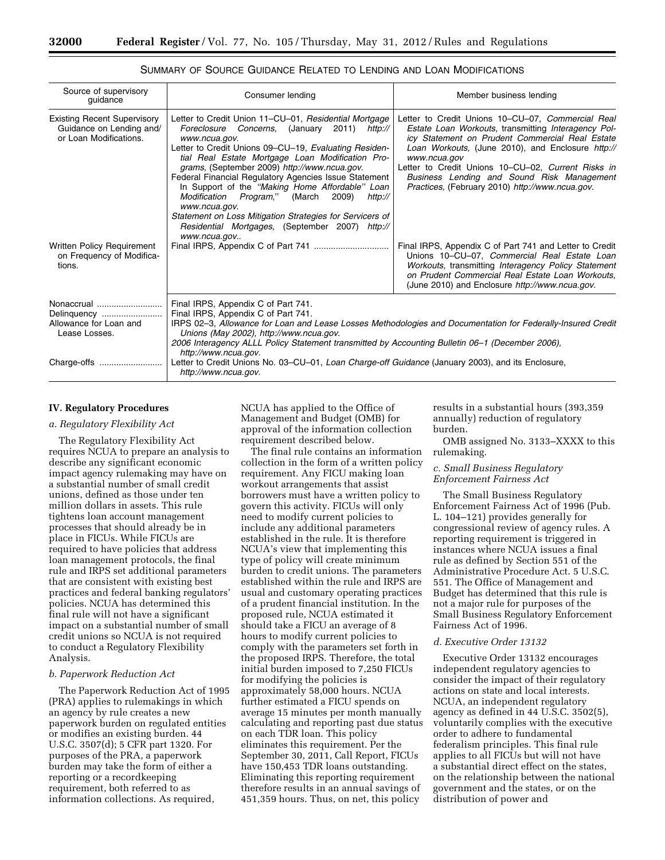| Source of supervisory<br>guidance                                                        | Consumer lending                                                                                                                                                                                                                                                                                                                                                                                                                                                                                                                                                                                              | Member business lending                                                                                                                                                                                                                                                                                                                                                                 |  |  |
|------------------------------------------------------------------------------------------|---------------------------------------------------------------------------------------------------------------------------------------------------------------------------------------------------------------------------------------------------------------------------------------------------------------------------------------------------------------------------------------------------------------------------------------------------------------------------------------------------------------------------------------------------------------------------------------------------------------|-----------------------------------------------------------------------------------------------------------------------------------------------------------------------------------------------------------------------------------------------------------------------------------------------------------------------------------------------------------------------------------------|--|--|
| <b>Existing Recent Supervisory</b><br>Guidance on Lending and/<br>or Loan Modifications. | Letter to Credit Union 11-CU-01, Residential Mortgage<br>Foreclosure Concerns, (January<br>2011)<br>http://<br>www.ncua.gov.<br>Letter to Credit Unions 09–CU–19, Evaluating Residen-<br>tial Real Estate Mortgage Loan Modification Pro-<br>grams, (September 2009) http://www.ncua.gov.<br>Federal Financial Regulatory Agencies Issue Statement<br>In Support of the "Making Home Affordable" Loan<br>Modification Program,"<br>(March<br>2009)<br>http://<br>www.ncua.gov.<br>Statement on Loss Mitigation Strategies for Servicers of<br>Residential Mortgages, (September 2007) http://<br>www.ncua.gov | Letter to Credit Unions 10-CU-07, Commercial Real<br>Estate Loan Workouts, transmitting Interagency Pol-<br>icy Statement on Prudent Commercial Real Estate<br>Loan Workouts, (June 2010), and Enclosure http://<br>www.ncua.gov<br>Letter to Credit Unions 10–CU–02, Current Risks in<br>Business Lending and Sound Risk Management<br>Practices, (February 2010) http://www.ncua.gov. |  |  |
| Written Policy Requirement<br>on Frequency of Modifica-<br>tions.                        |                                                                                                                                                                                                                                                                                                                                                                                                                                                                                                                                                                                                               | Final IRPS, Appendix C of Part 741 and Letter to Credit<br>Unions 10-CU-07, Commercial Real Estate Loan<br>Workouts, transmitting Interagency Policy Statement<br>on Prudent Commercial Real Estate Loan Workouts.<br>(June 2010) and Enclosure http://www.ncua.gov.                                                                                                                    |  |  |
| Nonaccrual<br>Delinquency<br>Allowance for Loan and<br>Lease Losses.                     | Final IRPS, Appendix C of Part 741.<br>Final IRPS, Appendix C of Part 741.<br>IRPS 02-3, Allowance for Loan and Lease Losses Methodologies and Documentation for Federally-Insured Credit<br>Unions (May 2002), http://www.ncua.gov.<br>2006 Interagency ALLL Policy Statement transmitted by Accounting Bulletin 06-1 (December 2006),<br>http://www.ncua.gov.                                                                                                                                                                                                                                               |                                                                                                                                                                                                                                                                                                                                                                                         |  |  |
| Charge-offs                                                                              | Letter to Credit Unions No. 03–CU–01, Loan Charge-off Guidance (January 2003), and its Enclosure,<br>http://www.ncua.gov.                                                                                                                                                                                                                                                                                                                                                                                                                                                                                     |                                                                                                                                                                                                                                                                                                                                                                                         |  |  |

## SUMMARY OF SOURCE GUIDANCE RELATED TO LENDING AND LOAN MODIFICATIONS

## **IV. Regulatory Procedures**

#### *a. Regulatory Flexibility Act*

The Regulatory Flexibility Act requires NCUA to prepare an analysis to describe any significant economic impact agency rulemaking may have on a substantial number of small credit unions, defined as those under ten million dollars in assets. This rule tightens loan account management processes that should already be in place in FICUs. While FICUs are required to have policies that address loan management protocols, the final rule and IRPS set additional parameters that are consistent with existing best practices and federal banking regulators' policies. NCUA has determined this final rule will not have a significant impact on a substantial number of small credit unions so NCUA is not required to conduct a Regulatory Flexibility Analysis.

## *b. Paperwork Reduction Act*

The Paperwork Reduction Act of 1995 (PRA) applies to rulemakings in which an agency by rule creates a new paperwork burden on regulated entities or modifies an existing burden. 44 U.S.C. 3507(d); 5 CFR part 1320. For purposes of the PRA, a paperwork burden may take the form of either a reporting or a recordkeeping requirement, both referred to as information collections. As required,

NCUA has applied to the Office of Management and Budget (OMB) for approval of the information collection requirement described below.

The final rule contains an information collection in the form of a written policy requirement. Any FICU making loan workout arrangements that assist borrowers must have a written policy to govern this activity. FICUs will only need to modify current policies to include any additional parameters established in the rule. It is therefore NCUA's view that implementing this type of policy will create minimum burden to credit unions. The parameters established within the rule and IRPS are usual and customary operating practices of a prudent financial institution. In the proposed rule, NCUA estimated it should take a FICU an average of 8 hours to modify current policies to comply with the parameters set forth in the proposed IRPS. Therefore, the total initial burden imposed to 7,250 FICUs for modifying the policies is approximately 58,000 hours. NCUA further estimated a FICU spends on average 15 minutes per month manually calculating and reporting past due status on each TDR loan. This policy eliminates this requirement. Per the September 30, 2011, Call Report, FICUs have 150,453 TDR loans outstanding. Eliminating this reporting requirement therefore results in an annual savings of 451,359 hours. Thus, on net, this policy

results in a substantial hours (393,359 annually) reduction of regulatory burden.

OMB assigned No. 3133–XXXX to this rulemaking.

#### *c. Small Business Regulatory Enforcement Fairness Act*

The Small Business Regulatory Enforcement Fairness Act of 1996 (Pub. L. 104–121) provides generally for congressional review of agency rules. A reporting requirement is triggered in instances where NCUA issues a final rule as defined by Section 551 of the Administrative Procedure Act. 5 U.S.C. 551. The Office of Management and Budget has determined that this rule is not a major rule for purposes of the Small Business Regulatory Enforcement Fairness Act of 1996.

## *d. Executive Order 13132*

Executive Order 13132 encourages independent regulatory agencies to consider the impact of their regulatory actions on state and local interests. NCUA, an independent regulatory agency as defined in 44 U.S.C. 3502(5), voluntarily complies with the executive order to adhere to fundamental federalism principles. This final rule applies to all FICUs but will not have a substantial direct effect on the states, on the relationship between the national government and the states, or on the distribution of power and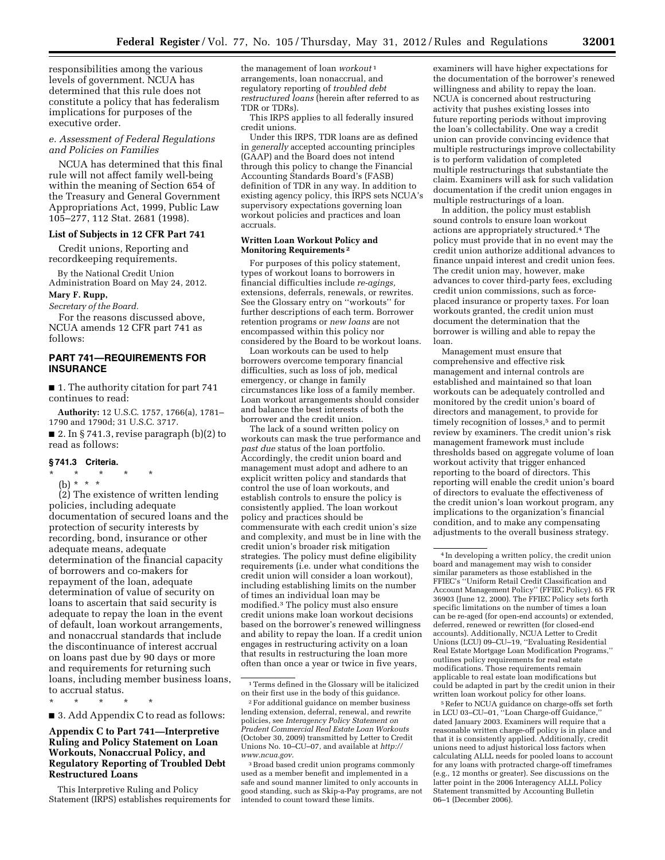responsibilities among the various levels of government. NCUA has determined that this rule does not constitute a policy that has federalism implications for purposes of the executive order.

## *e. Assessment of Federal Regulations and Policies on Families*

NCUA has determined that this final rule will not affect family well-being within the meaning of Section 654 of the Treasury and General Government Appropriations Act, 1999, Public Law 105–277, 112 Stat. 2681 (1998).

#### **List of Subjects in 12 CFR Part 741**

Credit unions, Reporting and recordkeeping requirements.

By the National Credit Union Administration Board on May 24, 2012. **Mary F. Rupp,** 

*Secretary of the Board.* 

For the reasons discussed above, NCUA amends 12 CFR part 741 as follows:

## **PART 741—REQUIREMENTS FOR INSURANCE**

■ 1. The authority citation for part 741 continues to read:

**Authority:** 12 U.S.C. 1757, 1766(a), 1781– 1790 and 1790d; 31 U.S.C. 3717.

■ 2. In § 741.3, revise paragraph  $(b)(2)$  to read as follows:

#### **§ 741.3 Criteria.**

- \* \* \* \* \*
	- (b) \* \* \*

(2) The existence of written lending policies, including adequate documentation of secured loans and the protection of security interests by recording, bond, insurance or other adequate means, adequate determination of the financial capacity of borrowers and co-makers for repayment of the loan, adequate determination of value of security on loans to ascertain that said security is adequate to repay the loan in the event of default, loan workout arrangements, and nonaccrual standards that include the discontinuance of interest accrual on loans past due by 90 days or more and requirements for returning such loans, including member business loans, to accrual status.

\* \* \* \* \*

■ 3. Add Appendix C to read as follows:

## **Appendix C to Part 741—Interpretive Ruling and Policy Statement on Loan Workouts, Nonaccrual Policy, and Regulatory Reporting of Troubled Debt Restructured Loans**

This Interpretive Ruling and Policy Statement (IRPS) establishes requirements for the management of loan *workout* 1 arrangements, loan nonaccrual, and regulatory reporting of *troubled debt restructured loans* (herein after referred to as TDR or TDRs).

This IRPS applies to all federally insured credit unions.

Under this IRPS, TDR loans are as defined in *generally* accepted accounting principles (GAAP) and the Board does not intend through this policy to change the Financial Accounting Standards Board's (FASB) definition of TDR in any way. In addition to existing agency policy, this IRPS sets NCUA's supervisory expectations governing loan workout policies and practices and loan accruals.

#### **Written Loan Workout Policy and Monitoring Requirements 2**

For purposes of this policy statement, types of workout loans to borrowers in financial difficulties include *re-agings,*  extensions, deferrals, renewals, or rewrites. See the Glossary entry on ''workouts'' for further descriptions of each term. Borrower retention programs or *new loans* are not encompassed within this policy nor considered by the Board to be workout loans.

Loan workouts can be used to help borrowers overcome temporary financial difficulties, such as loss of job, medical emergency, or change in family circumstances like loss of a family member. Loan workout arrangements should consider and balance the best interests of both the borrower and the credit union.

The lack of a sound written policy on workouts can mask the true performance and *past due* status of the loan portfolio. Accordingly, the credit union board and management must adopt and adhere to an explicit written policy and standards that control the use of loan workouts, and establish controls to ensure the policy is consistently applied. The loan workout policy and practices should be commensurate with each credit union's size and complexity, and must be in line with the credit union's broader risk mitigation strategies. The policy must define eligibility requirements (i.e. under what conditions the credit union will consider a loan workout), including establishing limits on the number of times an individual loan may be modified.3 The policy must also ensure credit unions make loan workout decisions based on the borrower's renewed willingness and ability to repay the loan. If a credit union engages in restructuring activity on a loan that results in restructuring the loan more often than once a year or twice in five years,

examiners will have higher expectations for the documentation of the borrower's renewed willingness and ability to repay the loan. NCUA is concerned about restructuring activity that pushes existing losses into future reporting periods without improving the loan's collectability. One way a credit union can provide convincing evidence that multiple restructurings improve collectability is to perform validation of completed multiple restructurings that substantiate the claim. Examiners will ask for such validation documentation if the credit union engages in multiple restructurings of a loan.

In addition, the policy must establish sound controls to ensure loan workout actions are appropriately structured.4 The policy must provide that in no event may the credit union authorize additional advances to finance unpaid interest and credit union fees. The credit union may, however, make advances to cover third-party fees, excluding credit union commissions, such as forceplaced insurance or property taxes. For loan workouts granted, the credit union must document the determination that the borrower is willing and able to repay the loan.

Management must ensure that comprehensive and effective risk management and internal controls are established and maintained so that loan workouts can be adequately controlled and monitored by the credit union's board of directors and management, to provide for timely recognition of losses,<sup>5</sup> and to permit review by examiners. The credit union's risk management framework must include thresholds based on aggregate volume of loan workout activity that trigger enhanced reporting to the board of directors. This reporting will enable the credit union's board of directors to evaluate the effectiveness of the credit union's loan workout program, any implications to the organization's financial condition, and to make any compensating adjustments to the overall business strategy.

5Refer to NCUA guidance on charge-offs set forth in LCU 03–CU–01, ''Loan Charge-off Guidance,'' dated January 2003. Examiners will require that a reasonable written charge-off policy is in place and that it is consistently applied. Additionally, credit unions need to adjust historical loss factors when calculating ALLL needs for pooled loans to account for any loans with protracted charge-off timeframes (e.g., 12 months or greater). See discussions on the latter point in the 2006 Interagency ALLL Policy Statement transmitted by Accounting Bulletin 06–1 (December 2006).

<sup>1</sup>Terms defined in the Glossary will be italicized on their first use in the body of this guidance.

 $\rm{^2}$  For additional guidance on member business lending extension, deferral, renewal, and rewrite policies, see *Interagency Policy Statement on Prudent Commercial Real Estate Loan Workouts*  (October 30, 2009) transmitted by Letter to Credit Unions No. 10–CU–07, and available at *[http://](http://www.ncua.gov)  [www.ncua.gov](http://www.ncua.gov)*.

<sup>3</sup>Broad based credit union programs commonly used as a member benefit and implemented in a safe and sound manner limited to only accounts in good standing, such as Skip-a-Pay programs, are not intended to count toward these limits.

<sup>4</sup> In developing a written policy, the credit union board and management may wish to consider similar parameters as those established in the FFIEC's ''Uniform Retail Credit Classification and Account Management Policy'' (FFIEC Policy). 65 FR 36903 (June 12, 2000). The FFIEC Policy sets forth specific limitations on the number of times a loan can be re-aged (for open-end accounts) or extended, deferred, renewed or rewritten (for closed-end accounts). Additionally, NCUA Letter to Credit Unions (LCU) 09–CU–19, ''Evaluating Residential Real Estate Mortgage Loan Modification Programs,'' outlines policy requirements for real estate modifications. Those requirements remain applicable to real estate loan modifications but could be adapted in part by the credit union in their written loan workout policy for other loans.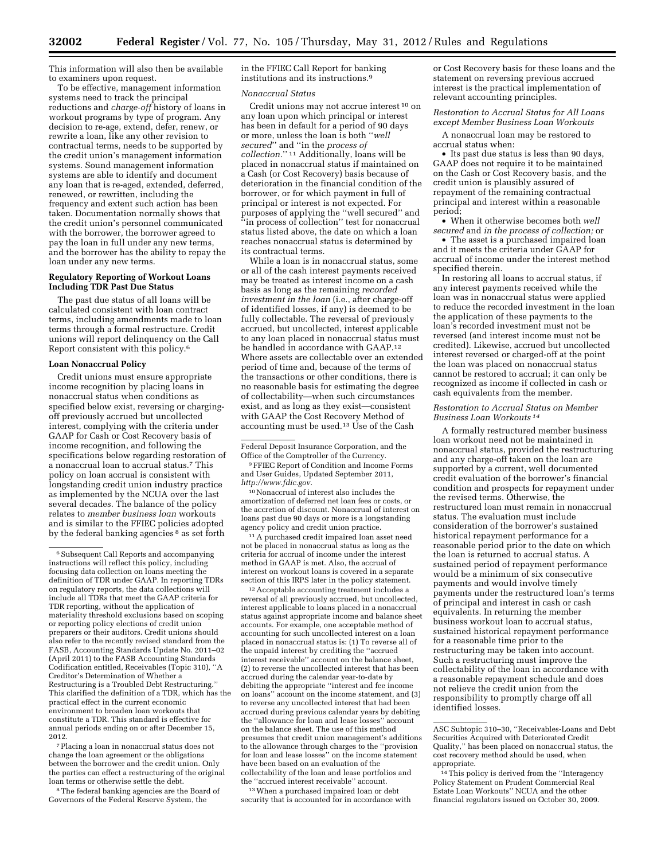This information will also then be available to examiners upon request.

To be effective, management information systems need to track the principal reductions and *charge-off* history of loans in workout programs by type of program. Any decision to re-age, extend, defer, renew, or rewrite a loan, like any other revision to contractual terms, needs to be supported by the credit union's management information systems. Sound management information systems are able to identify and document any loan that is re-aged, extended, deferred, renewed, or rewritten, including the frequency and extent such action has been taken. Documentation normally shows that the credit union's personnel communicated with the borrower, the borrower agreed to pay the loan in full under any new terms, and the borrower has the ability to repay the loan under any new terms.

#### **Regulatory Reporting of Workout Loans Including TDR Past Due Status**

The past due status of all loans will be calculated consistent with loan contract terms, including amendments made to loan terms through a formal restructure. Credit unions will report delinquency on the Call Report consistent with this policy.6

#### **Loan Nonaccrual Policy**

Credit unions must ensure appropriate income recognition by placing loans in nonaccrual status when conditions as specified below exist, reversing or chargingoff previously accrued but uncollected interest, complying with the criteria under GAAP for Cash or Cost Recovery basis of income recognition, and following the specifications below regarding restoration of a nonaccrual loan to accrual status.7 This policy on loan accrual is consistent with longstanding credit union industry practice as implemented by the NCUA over the last several decades. The balance of the policy relates to *member business loan* workouts and is similar to the FFIEC policies adopted by the federal banking agencies<sup>8</sup> as set forth

7Placing a loan in nonaccrual status does not change the loan agreement or the obligations between the borrower and the credit union. Only the parties can effect a restructuring of the original loan terms or otherwise settle the debt.

8The federal banking agencies are the Board of Governors of the Federal Reserve System, the

in the FFIEC Call Report for banking institutions and its instructions.9

#### *Nonaccrual Status*

Credit unions may not accrue interest 10 on any loan upon which principal or interest has been in default for a period of 90 days or more, unless the loan is both ''*well secured*'' and ''in the *process of collection.*'' 11 Additionally, loans will be placed in nonaccrual status if maintained on a Cash (or Cost Recovery) basis because of deterioration in the financial condition of the borrower, or for which payment in full of principal or interest is not expected. For purposes of applying the ''well secured'' and ''in process of collection'' test for nonaccrual status listed above, the date on which a loan reaches nonaccrual status is determined by its contractual terms.

While a loan is in nonaccrual status, some or all of the cash interest payments received may be treated as interest income on a cash basis as long as the remaining *recorded investment in the loan* (i.e., after charge-off of identified losses, if any) is deemed to be fully collectable. The reversal of previously accrued, but uncollected, interest applicable to any loan placed in nonaccrual status must be handled in accordance with GAAP.12 Where assets are collectable over an extended period of time and, because of the terms of the transactions or other conditions, there is no reasonable basis for estimating the degree of collectability—when such circumstances exist, and as long as they exist—consistent with GAAP the Cost Recovery Method of accounting must be used.13 Use of the Cash

Federal Deposit Insurance Corporation, and the Office of the Comptroller of the Currency.

9FFIEC Report of Condition and Income Forms and User Guides, Updated September 2011, *[http://www.fdic.gov.](http://www.fdic.gov)* 

10Nonaccrual of interest also includes the amortization of deferred net loan fees or costs, or the accretion of discount. Nonaccrual of interest on loans past due 90 days or more is a longstanding agency policy and credit union practice.

 $^{\rm 11}\mathrm{A}$  purchased credit impaired loan asset need not be placed in nonaccrual status as long as the criteria for accrual of income under the interest method in GAAP is met. Also, the accrual of interest on workout loans is covered in a separate section of this IRPS later in the policy statement.

12Acceptable accounting treatment includes a reversal of all previously accrued, but uncollected, interest applicable to loans placed in a nonaccrual status against appropriate income and balance sheet accounts. For example, one acceptable method of accounting for such uncollected interest on a loan placed in nonaccrual status is: (1) To reverse all of the unpaid interest by crediting the ''accrued interest receivable'' account on the balance sheet, (2) to reverse the uncollected interest that has been accrued during the calendar year-to-date by debiting the appropriate ''interest and fee income on loans'' account on the income statement, and (3) to reverse any uncollected interest that had been accrued during previous calendar years by debiting the ''allowance for loan and lease losses'' account on the balance sheet. The use of this method presumes that credit union management's additions to the allowance through charges to the ''provision for loan and lease losses'' on the income statement have been based on an evaluation of the collectability of the loan and lease portfolios and the ''accrued interest receivable'' account.

13When a purchased impaired loan or debt security that is accounted for in accordance with or Cost Recovery basis for these loans and the statement on reversing previous accrued interest is the practical implementation of relevant accounting principles.

*Restoration to Accrual Status for All Loans except Member Business Loan Workouts* 

A nonaccrual loan may be restored to accrual status when:

• Its past due status is less than 90 days, GAAP does not require it to be maintained on the Cash or Cost Recovery basis, and the credit union is plausibly assured of repayment of the remaining contractual principal and interest within a reasonable period;

• When it otherwise becomes both *well secured* and *in the process of collection;* or

• The asset is a purchased impaired loan and it meets the criteria under GAAP for accrual of income under the interest method specified therein.

In restoring all loans to accrual status, if any interest payments received while the loan was in nonaccrual status were applied to reduce the recorded investment in the loan the application of these payments to the loan's recorded investment must not be reversed (and interest income must not be credited). Likewise, accrued but uncollected interest reversed or charged-off at the point the loan was placed on nonaccrual status cannot be restored to accrual; it can only be recognized as income if collected in cash or cash equivalents from the member.

#### *Restoration to Accrual Status on Member Business Loan Workouts 14*

A formally restructured member business loan workout need not be maintained in nonaccrual status, provided the restructuring and any charge-off taken on the loan are supported by a current, well documented credit evaluation of the borrower's financial condition and prospects for repayment under the revised terms. Otherwise, the restructured loan must remain in nonaccrual status. The evaluation must include consideration of the borrower's sustained historical repayment performance for a reasonable period prior to the date on which the loan is returned to accrual status. A sustained period of repayment performance would be a minimum of six consecutive payments and would involve timely payments under the restructured loan's terms of principal and interest in cash or cash equivalents. In returning the member business workout loan to accrual status, sustained historical repayment performance for a reasonable time prior to the restructuring may be taken into account. Such a restructuring must improve the collectability of the loan in accordance with a reasonable repayment schedule and does not relieve the credit union from the responsibility to promptly charge off all identified losses.

 $^{\rm 6}$  Subsequent Call Reports and accompanying instructions will reflect this policy, including focusing data collection on loans meeting the definition of TDR under GAAP. In reporting TDRs on regulatory reports, the data collections will include all TDRs that meet the GAAP criteria for TDR reporting, without the application of materiality threshold exclusions based on scoping or reporting policy elections of credit union preparers or their auditors. Credit unions should also refer to the recently revised standard from the FASB, Accounting Standards Update No. 2011–02 (April 2011) to the FASB Accounting Standards Codification entitled, Receivables (Topic 310), ''A Creditor's Determination of Whether a Restructuring is a Troubled Debt Restructuring.'' This clarified the definition of a TDR, which has the practical effect in the current economic environment to broaden loan workouts that constitute a TDR. This standard is effective for annual periods ending on or after December 15, 2012.

ASC Subtopic 310–30, ''Receivables-Loans and Debt Securities Acquired with Deteriorated Credit Quality,'' has been placed on nonaccrual status, the cost recovery method should be used, when appropriate.

<sup>14</sup>This policy is derived from the ''Interagency Policy Statement on Prudent Commercial Real Estate Loan Workouts'' NCUA and the other financial regulators issued on October 30, 2009.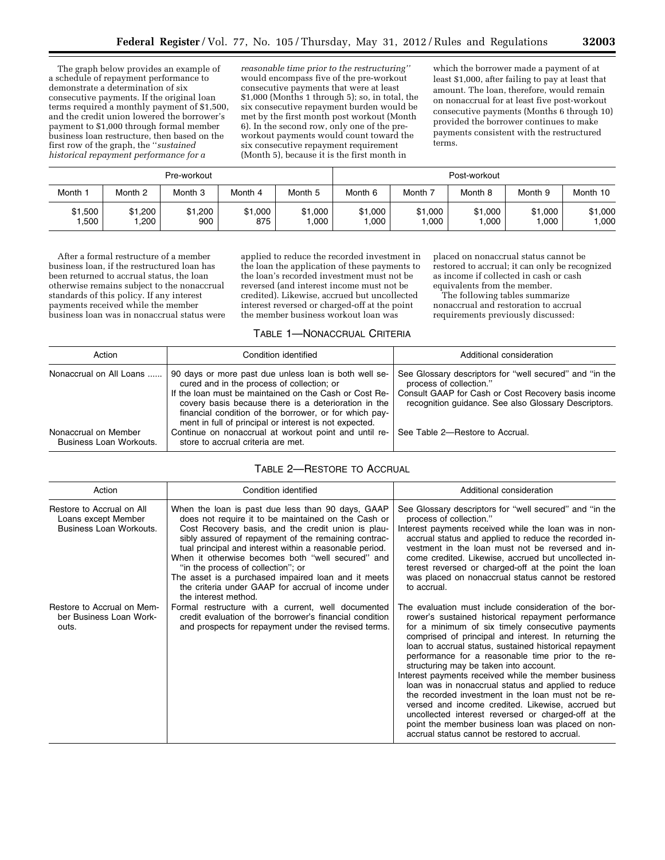The graph below provides an example of a schedule of repayment performance to demonstrate a determination of six consecutive payments. If the original loan terms required a monthly payment of \$1,500, and the credit union lowered the borrower's payment to \$1,000 through formal member business loan restructure, then based on the first row of the graph, the ''*sustained historical repayment performance for a* 

*reasonable time prior to the restructuring''*  would encompass five of the pre-workout consecutive payments that were at least \$1,000 (Months 1 through 5); so, in total, the six consecutive repayment burden would be met by the first month post workout (Month 6). In the second row, only one of the preworkout payments would count toward the six consecutive repayment requirement (Month 5), because it is the first month in

which the borrower made a payment of at least \$1,000, after failing to pay at least that amount. The loan, therefore, would remain on nonaccrual for at least five post-workout consecutive payments (Months 6 through 10) provided the borrower continues to make payments consistent with the restructured terms.

| Pre-workout     |                 |                |                | Post-workout    |                 |                   |                  |                 |                 |
|-----------------|-----------------|----------------|----------------|-----------------|-----------------|-------------------|------------------|-----------------|-----------------|
| Month 1         | Month 2         | Month 3        | Month 4        | Month 5         | Month 6         | Month 7           | Month 8          | Month 9         | Month 10        |
| \$1,500<br>.500 | \$1,200<br>.200 | \$1,200<br>900 | \$1,000<br>875 | \$1,000<br>,000 | \$1,000<br>,000 | \$1,000<br>000. ا | \$1,000<br>000,1 | \$1,000<br>.000 | \$1,000<br>,000 |

After a formal restructure of a member business loan, if the restructured loan has been returned to accrual status, the loan otherwise remains subject to the nonaccrual standards of this policy. If any interest payments received while the member business loan was in nonaccrual status were

applied to reduce the recorded investment in the loan the application of these payments to the loan's recorded investment must not be reversed (and interest income must not be credited). Likewise, accrued but uncollected interest reversed or charged-off at the point the member business workout loan was

placed on nonaccrual status cannot be restored to accrual; it can only be recognized as income if collected in cash or cash equivalents from the member.

The following tables summarize nonaccrual and restoration to accrual requirements previously discussed:

#### TABLE 1—NONACCRUAL CRITERIA

| Action                                          | Condition identified                                                                                                                                                                                                                                                                                                                      | Additional consideration                                                                                                                                                                          |
|-------------------------------------------------|-------------------------------------------------------------------------------------------------------------------------------------------------------------------------------------------------------------------------------------------------------------------------------------------------------------------------------------------|---------------------------------------------------------------------------------------------------------------------------------------------------------------------------------------------------|
| Nonaccrual on All Loans                         | 90 days or more past due unless loan is both well se-<br>cured and in the process of collection; or<br>If the loan must be maintained on the Cash or Cost Re-<br>covery basis because there is a deterioration in the<br>financial condition of the borrower, or for which pay-<br>ment in full of principal or interest is not expected. | See Glossary descriptors for "well secured" and "in the<br>process of collection."<br>Consult GAAP for Cash or Cost Recovery basis income<br>recognition guidance. See also Glossary Descriptors. |
| Nonaccrual on Member<br>Business Loan Workouts. | Continue on nonaccrual at workout point and until re-<br>store to accrual criteria are met.                                                                                                                                                                                                                                               | See Table 2-Restore to Accrual.                                                                                                                                                                   |

## TABLE 2—RESTORE TO ACCRUAL

| Action                                                                      | Condition identified                                                                                                                                                                                                                                                                                                                                                                                                                                                                                               | Additional consideration                                                                                                                                                                                                                                                                                                                                                                                                                                                                                                                                                                                                                                                                                                                                                   |
|-----------------------------------------------------------------------------|--------------------------------------------------------------------------------------------------------------------------------------------------------------------------------------------------------------------------------------------------------------------------------------------------------------------------------------------------------------------------------------------------------------------------------------------------------------------------------------------------------------------|----------------------------------------------------------------------------------------------------------------------------------------------------------------------------------------------------------------------------------------------------------------------------------------------------------------------------------------------------------------------------------------------------------------------------------------------------------------------------------------------------------------------------------------------------------------------------------------------------------------------------------------------------------------------------------------------------------------------------------------------------------------------------|
| Restore to Accrual on All<br>Loans except Member<br>Business Loan Workouts. | When the loan is past due less than 90 days, GAAP<br>does not require it to be maintained on the Cash or<br>Cost Recovery basis, and the credit union is plau-<br>sibly assured of repayment of the remaining contrac-<br>tual principal and interest within a reasonable period.<br>When it otherwise becomes both "well secured" and<br>"in the process of collection"; or<br>The asset is a purchased impaired loan and it meets<br>the criteria under GAAP for accrual of income under<br>the interest method. | See Glossary descriptors for "well secured" and "in the<br>process of collection."<br>Interest payments received while the loan was in non-<br>accrual status and applied to reduce the recorded in-<br>vestment in the loan must not be reversed and in-<br>come credited. Likewise, accrued but uncollected in-<br>terest reversed or charged-off at the point the loan<br>was placed on nonaccrual status cannot be restored<br>to accrual.                                                                                                                                                                                                                                                                                                                             |
| Restore to Accrual on Mem-<br>ber Business Loan Work-<br>outs.              | Formal restructure with a current, well documented<br>credit evaluation of the borrower's financial condition<br>and prospects for repayment under the revised terms.                                                                                                                                                                                                                                                                                                                                              | The evaluation must include consideration of the bor-<br>rower's sustained historical repayment performance<br>for a minimum of six timely consecutive payments<br>comprised of principal and interest. In returning the<br>loan to accrual status, sustained historical repayment<br>performance for a reasonable time prior to the re-<br>structuring may be taken into account.<br>Interest payments received while the member business<br>loan was in nonaccrual status and applied to reduce<br>the recorded investment in the loan must not be re-<br>versed and income credited. Likewise, accrued but<br>uncollected interest reversed or charged-off at the<br>point the member business loan was placed on non-<br>accrual status cannot be restored to accrual. |